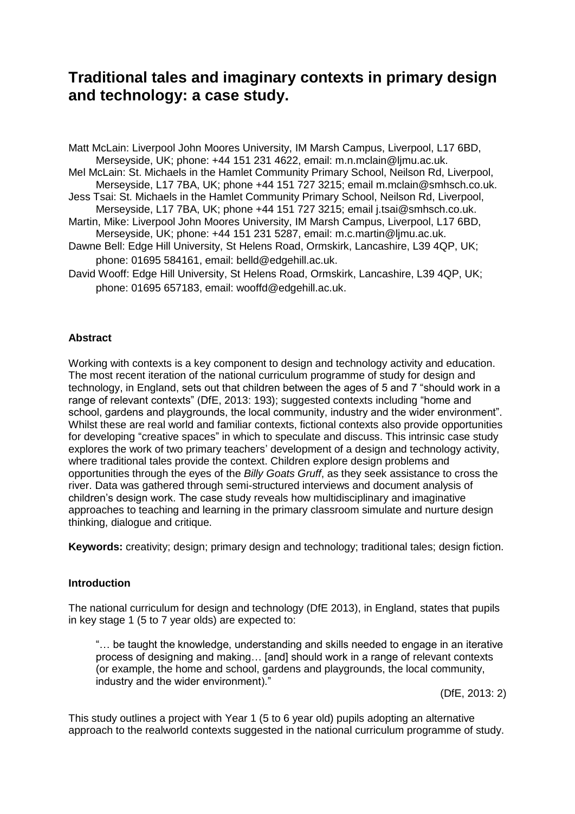# **Traditional tales and imaginary contexts in primary design and technology: a case study.**

Matt McLain: Liverpool John Moores University, IM Marsh Campus, Liverpool, L17 6BD, Merseyside, UK; phone: +44 151 231 4622, email: m.n.mclain@ljmu.ac.uk. Mel McLain: St. Michaels in the Hamlet Community Primary School, Neilson Rd, Liverpool, Merseyside, L17 7BA, UK; phone +44 151 727 3215; email m.mclain@smhsch.co.uk.

Jess Tsai: St. Michaels in the Hamlet Community Primary School, Neilson Rd, Liverpool, Merseyside, L17 7BA, UK; phone +44 151 727 3215; email j.tsai@smhsch.co.uk.

- Martin, Mike: Liverpool John Moores University, IM Marsh Campus, Liverpool, L17 6BD, Merseyside, UK; phone: +44 151 231 5287, email: m.c.martin@ljmu.ac.uk.
- Dawne Bell: Edge Hill University, St Helens Road, Ormskirk, Lancashire, L39 4QP, UK; phone: 01695 584161, email: belld@edgehill.ac.uk.
- David Wooff: Edge Hill University, St Helens Road, Ormskirk, Lancashire, L39 4QP, UK; phone: 01695 657183, email: wooffd@edgehill.ac.uk.

# **Abstract**

Working with contexts is a key component to design and technology activity and education. The most recent iteration of the national curriculum programme of study for design and technology, in England, sets out that children between the ages of 5 and 7 "should work in a range of relevant contexts" (DfE, 2013: 193); suggested contexts including "home and school, gardens and playgrounds, the local community, industry and the wider environment". Whilst these are real world and familiar contexts, fictional contexts also provide opportunities for developing "creative spaces" in which to speculate and discuss. This intrinsic case study explores the work of two primary teachers' development of a design and technology activity, where traditional tales provide the context. Children explore design problems and opportunities through the eyes of the *Billy Goats Gruff*, as they seek assistance to cross the river. Data was gathered through semi-structured interviews and document analysis of children's design work. The case study reveals how multidisciplinary and imaginative approaches to teaching and learning in the primary classroom simulate and nurture design thinking, dialogue and critique.

**Keywords:** creativity; design; primary design and technology; traditional tales; design fiction.

## **Introduction**

The national curriculum for design and technology (DfE 2013), in England, states that pupils in key stage 1 (5 to 7 year olds) are expected to:

"… be taught the knowledge, understanding and skills needed to engage in an iterative process of designing and making... [and] should work in a range of relevant contexts (or example, the home and school, gardens and playgrounds, the local community, industry and the wider environment)."

(DfE, 2013: 2)

This study outlines a project with Year 1 (5 to 6 year old) pupils adopting an alternative approach to the realworld contexts suggested in the national curriculum programme of study.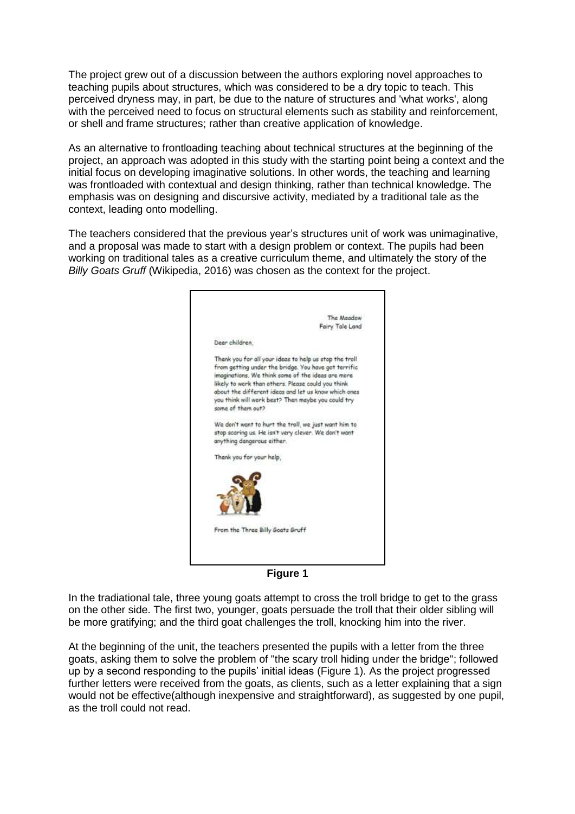The project grew out of a discussion between the authors exploring novel approaches to teaching pupils about structures, which was considered to be a dry topic to teach. This perceived dryness may, in part, be due to the nature of structures and 'what works', along with the perceived need to focus on structural elements such as stability and reinforcement, or shell and frame structures; rather than creative application of knowledge.

As an alternative to frontloading teaching about technical structures at the beginning of the project, an approach was adopted in this study with the starting point being a context and the initial focus on developing imaginative solutions. In other words, the teaching and learning was frontloaded with contextual and design thinking, rather than technical knowledge. The emphasis was on designing and discursive activity, mediated by a traditional tale as the context, leading onto modelling.

The teachers considered that the previous year's structures unit of work was unimaginative, and a proposal was made to start with a design problem or context. The pupils had been working on traditional tales as a creative curriculum theme, and ultimately the story of the *Billy Goats Gruff* (Wikipedia, 2016) was chosen as the context for the project.



**Figure 1**

<span id="page-1-0"></span>In the tradiational tale, three young goats attempt to cross the troll bridge to get to the grass on the other side. The first two, younger, goats persuade the troll that their older sibling will be more gratifying; and the third goat challenges the troll, knocking him into the river.

At the beginning of the unit, the teachers presented the pupils with a letter from the three goats, asking them to solve the problem of "the scary troll hiding under the bridge"; followed up by a second responding to the pupils' initial ideas [\(Figure 1\)](#page-1-0). As the project progressed further letters were received from the goats, as clients, such as a letter explaining that a sign would not be effective(although inexpensive and straightforward), as suggested by one pupil, as the troll could not read.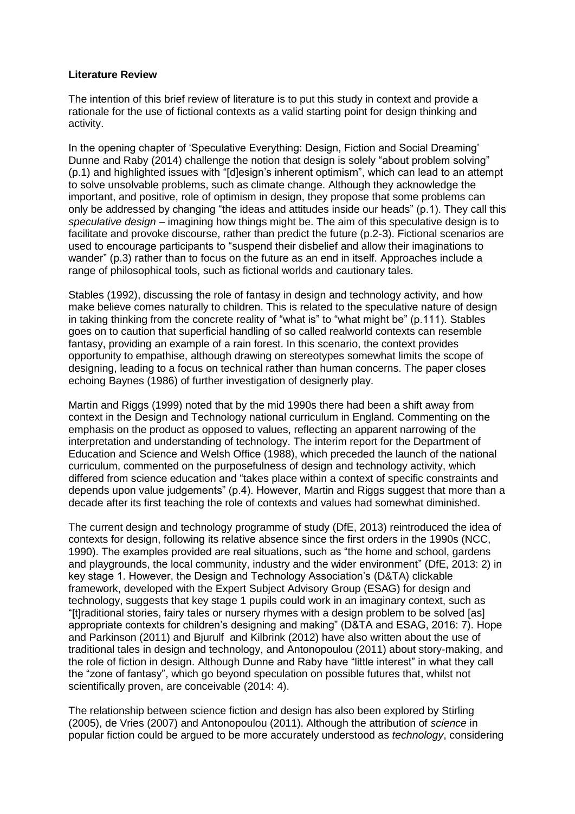## **Literature Review**

The intention of this brief review of literature is to put this study in context and provide a rationale for the use of fictional contexts as a valid starting point for design thinking and activity.

In the opening chapter of 'Speculative Everything: Design, Fiction and Social Dreaming' Dunne and Raby (2014) challenge the notion that design is solely "about problem solving" (p.1) and highlighted issues with "[d]esign's inherent optimism", which can lead to an attempt to solve unsolvable problems, such as climate change. Although they acknowledge the important, and positive, role of optimism in design, they propose that some problems can only be addressed by changing "the ideas and attitudes inside our heads" (p.1). They call this *speculative design* – imagining how things might be. The aim of this speculative design is to facilitate and provoke discourse, rather than predict the future (p.2-3). Fictional scenarios are used to encourage participants to "suspend their disbelief and allow their imaginations to wander" (p.3) rather than to focus on the future as an end in itself. Approaches include a range of philosophical tools, such as fictional worlds and cautionary tales.

Stables (1992), discussing the role of fantasy in design and technology activity, and how make believe comes naturally to children. This is related to the speculative nature of design in taking thinking from the concrete reality of "what is" to "what might be" (p.111). Stables goes on to caution that superficial handling of so called realworld contexts can resemble fantasy, providing an example of a rain forest. In this scenario, the context provides opportunity to empathise, although drawing on stereotypes somewhat limits the scope of designing, leading to a focus on technical rather than human concerns. The paper closes echoing Baynes (1986) of further investigation of designerly play.

Martin and Riggs (1999) noted that by the mid 1990s there had been a shift away from context in the Design and Technology national curriculum in England. Commenting on the emphasis on the product as opposed to values, reflecting an apparent narrowing of the interpretation and understanding of technology. The interim report for the Department of Education and Science and Welsh Office (1988), which preceded the launch of the national curriculum, commented on the purposefulness of design and technology activity, which differed from science education and "takes place within a context of specific constraints and depends upon value judgements" (p.4). However, Martin and Riggs suggest that more than a decade after its first teaching the role of contexts and values had somewhat diminished.

The current design and technology programme of study (DfE, 2013) reintroduced the idea of contexts for design, following its relative absence since the first orders in the 1990s (NCC, 1990). The examples provided are real situations, such as "the home and school, gardens and playgrounds, the local community, industry and the wider environment" (DfE, 2013: 2) in key stage 1. However, the Design and Technology Association's (D&TA) clickable framework, developed with the Expert Subject Advisory Group (ESAG) for design and technology, suggests that key stage 1 pupils could work in an imaginary context, such as "[t]raditional stories, fairy tales or nursery rhymes with a design problem to be solved [as] appropriate contexts for children's designing and making" (D&TA and ESAG, 2016: 7). Hope and Parkinson (2011) and Bjurulf and Kilbrink (2012) have also written about the use of traditional tales in design and technology, and Antonopoulou (2011) about story-making, and the role of fiction in design. Although Dunne and Raby have "little interest" in what they call the "zone of fantasy", which go beyond speculation on possible futures that, whilst not scientifically proven, are conceivable (2014: 4).

The relationship between science fiction and design has also been explored by Stirling (2005), de Vries (2007) and Antonopoulou (2011). Although the attribution of *science* in popular fiction could be argued to be more accurately understood as *technology*, considering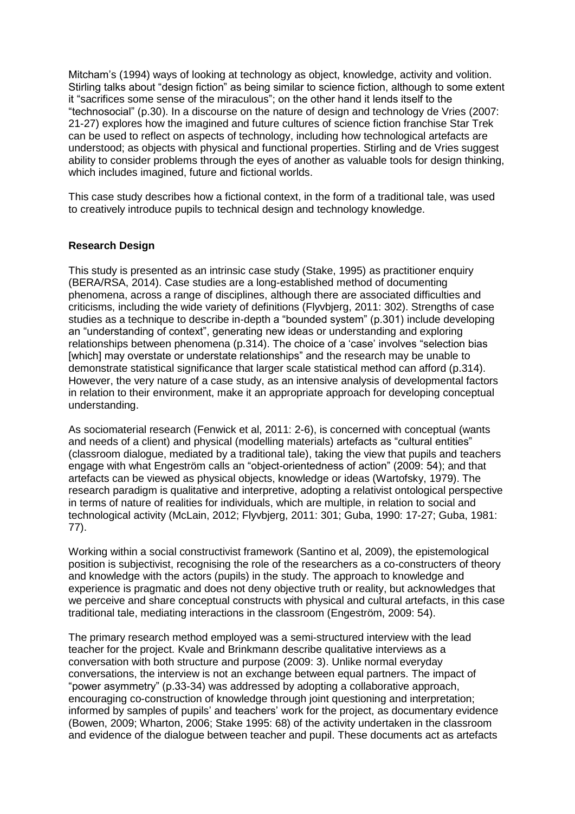Mitcham's (1994) ways of looking at technology as object, knowledge, activity and volition. Stirling talks about "design fiction" as being similar to science fiction, although to some extent it "sacrifices some sense of the miraculous"; on the other hand it lends itself to the "technosocial" (p.30). In a discourse on the nature of design and technology de Vries (2007: 21-27) explores how the imagined and future cultures of science fiction franchise Star Trek can be used to reflect on aspects of technology, including how technological artefacts are understood; as objects with physical and functional properties. Stirling and de Vries suggest ability to consider problems through the eyes of another as valuable tools for design thinking. which includes imagined, future and fictional worlds.

This case study describes how a fictional context, in the form of a traditional tale, was used to creatively introduce pupils to technical design and technology knowledge.

## **Research Design**

This study is presented as an intrinsic case study (Stake, 1995) as practitioner enquiry (BERA/RSA, 2014). Case studies are a long-established method of documenting phenomena, across a range of disciplines, although there are associated difficulties and criticisms, including the wide variety of definitions (Flyvbjerg, 2011: 302). Strengths of case studies as a technique to describe in-depth a "bounded system" (p.301) include developing an "understanding of context", generating new ideas or understanding and exploring relationships between phenomena (p.314). The choice of a 'case' involves "selection bias [which] may overstate or understate relationships" and the research may be unable to demonstrate statistical significance that larger scale statistical method can afford (p.314). However, the very nature of a case study, as an intensive analysis of developmental factors in relation to their environment, make it an appropriate approach for developing conceptual understanding.

As sociomaterial research (Fenwick et al, 2011: 2-6), is concerned with conceptual (wants and needs of a client) and physical (modelling materials) artefacts as "cultural entities" (classroom dialogue, mediated by a traditional tale), taking the view that pupils and teachers engage with what Engeström calls an "object-orientedness of action" (2009: 54); and that artefacts can be viewed as physical objects, knowledge or ideas (Wartofsky, 1979). The research paradigm is qualitative and interpretive, adopting a relativist ontological perspective in terms of nature of realities for individuals, which are multiple, in relation to social and technological activity (McLain, 2012; Flyvbjerg, 2011: 301; Guba, 1990: 17-27; Guba, 1981: 77).

Working within a social constructivist framework (Santino et al, 2009), the epistemological position is subjectivist, recognising the role of the researchers as a co-constructers of theory and knowledge with the actors (pupils) in the study. The approach to knowledge and experience is pragmatic and does not deny objective truth or reality, but acknowledges that we perceive and share conceptual constructs with physical and cultural artefacts, in this case traditional tale, mediating interactions in the classroom (Engeström, 2009: 54).

The primary research method employed was a semi-structured interview with the lead teacher for the project. Kvale and Brinkmann describe qualitative interviews as a conversation with both structure and purpose (2009: 3). Unlike normal everyday conversations, the interview is not an exchange between equal partners. The impact of "power asymmetry" (p.33-34) was addressed by adopting a collaborative approach, encouraging co-construction of knowledge through joint questioning and interpretation; informed by samples of pupils' and teachers' work for the project, as documentary evidence (Bowen, 2009; Wharton, 2006; Stake 1995: 68) of the activity undertaken in the classroom and evidence of the dialogue between teacher and pupil. These documents act as artefacts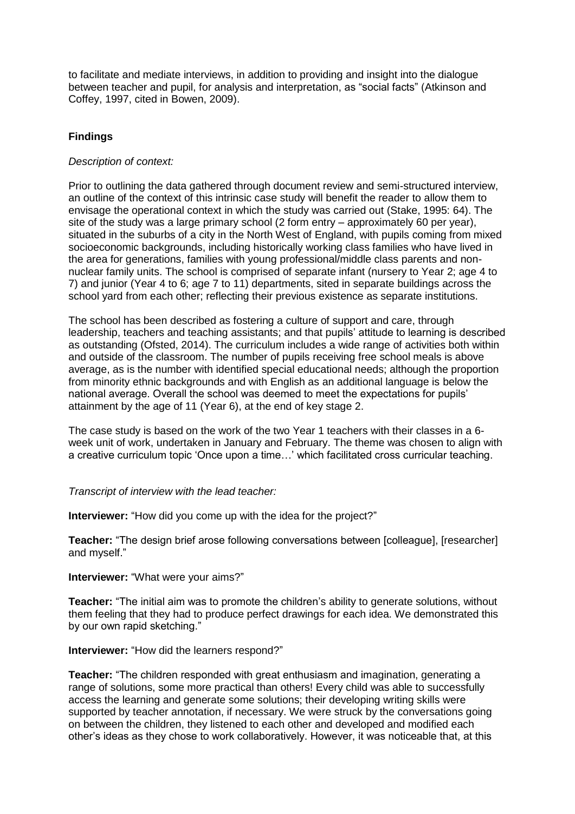to facilitate and mediate interviews, in addition to providing and insight into the dialogue between teacher and pupil, for analysis and interpretation, as "social facts" (Atkinson and Coffey, 1997, cited in Bowen, 2009).

## **Findings**

## *Description of context:*

Prior to outlining the data gathered through document review and semi-structured interview, an outline of the context of this intrinsic case study will benefit the reader to allow them to envisage the operational context in which the study was carried out (Stake, 1995: 64). The site of the study was a large primary school (2 form entry – approximately 60 per year), situated in the suburbs of a city in the North West of England, with pupils coming from mixed socioeconomic backgrounds, including historically working class families who have lived in the area for generations, families with young professional/middle class parents and nonnuclear family units. The school is comprised of separate infant (nursery to Year 2; age 4 to 7) and junior (Year 4 to 6; age 7 to 11) departments, sited in separate buildings across the school yard from each other; reflecting their previous existence as separate institutions.

The school has been described as fostering a culture of support and care, through leadership, teachers and teaching assistants; and that pupils' attitude to learning is described as outstanding (Ofsted, 2014). The curriculum includes a wide range of activities both within and outside of the classroom. The number of pupils receiving free school meals is above average, as is the number with identified special educational needs; although the proportion from minority ethnic backgrounds and with English as an additional language is below the national average. Overall the school was deemed to meet the expectations for pupils' attainment by the age of 11 (Year 6), at the end of key stage 2.

The case study is based on the work of the two Year 1 teachers with their classes in a 6 week unit of work, undertaken in January and February. The theme was chosen to align with a creative curriculum topic 'Once upon a time…' which facilitated cross curricular teaching.

#### *Transcript of interview with the lead teacher:*

**Interviewer:** "How did you come up with the idea for the project?"

**Teacher:** "The design brief arose following conversations between [colleague], [researcher] and myself."

## **Interviewer:** "What were your aims?"

**Teacher:** "The initial aim was to promote the children's ability to generate solutions, without them feeling that they had to produce perfect drawings for each idea. We demonstrated this by our own rapid sketching."

#### **Interviewer:** "How did the learners respond?"

**Teacher:** "The children responded with great enthusiasm and imagination, generating a range of solutions, some more practical than others! Every child was able to successfully access the learning and generate some solutions; their developing writing skills were supported by teacher annotation, if necessary. We were struck by the conversations going on between the children, they listened to each other and developed and modified each other's ideas as they chose to work collaboratively. However, it was noticeable that, at this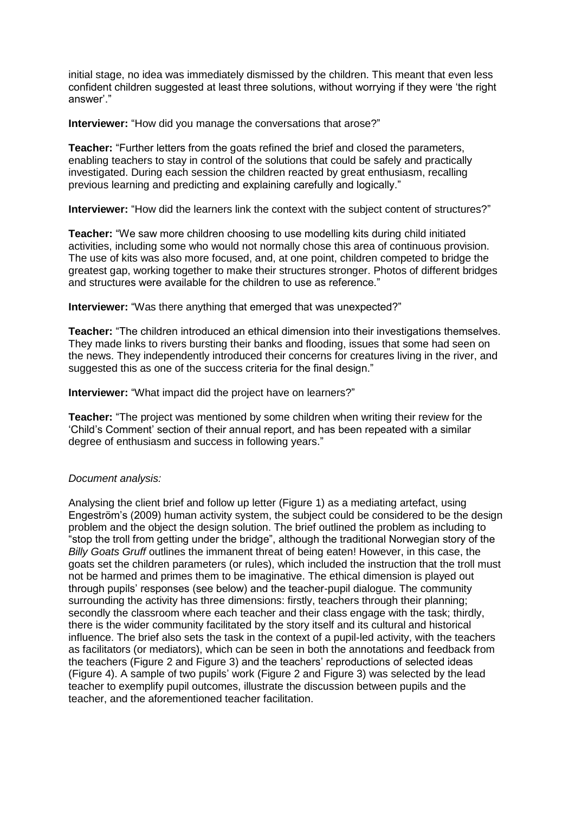initial stage, no idea was immediately dismissed by the children. This meant that even less confident children suggested at least three solutions, without worrying if they were 'the right answer'."

**Interviewer:** "How did you manage the conversations that arose?"

**Teacher:** "Further letters from the goats refined the brief and closed the parameters, enabling teachers to stay in control of the solutions that could be safely and practically investigated. During each session the children reacted by great enthusiasm, recalling previous learning and predicting and explaining carefully and logically."

**Interviewer:** "How did the learners link the context with the subject content of structures?"

**Teacher:** "We saw more children choosing to use modelling kits during child initiated activities, including some who would not normally chose this area of continuous provision. The use of kits was also more focused, and, at one point, children competed to bridge the greatest gap, working together to make their structures stronger. Photos of different bridges and structures were available for the children to use as reference."

**Interviewer:** "Was there anything that emerged that was unexpected?"

**Teacher:** "The children introduced an ethical dimension into their investigations themselves. They made links to rivers bursting their banks and flooding, issues that some had seen on the news. They independently introduced their concerns for creatures living in the river, and suggested this as one of the success criteria for the final design."

**Interviewer:** "What impact did the project have on learners?"

**Teacher:** "The project was mentioned by some children when writing their review for the 'Child's Comment' section of their annual report, and has been repeated with a similar degree of enthusiasm and success in following years."

## *Document analysis:*

Analysing the client brief and follow up letter [\(Figure 1\)](#page-1-0) as a mediating artefact, using Engeström's (2009) human activity system, the subject could be considered to be the design problem and the object the design solution. The brief outlined the problem as including to "stop the troll from getting under the bridge", although the traditional Norwegian story of the *Billy Goats Gruff* outlines the immanent threat of being eaten! However, in this case, the goats set the children parameters (or rules), which included the instruction that the troll must not be harmed and primes them to be imaginative. The ethical dimension is played out through pupils' responses (see below) and the teacher-pupil dialogue. The community surrounding the activity has three dimensions: firstly, teachers through their planning; secondly the classroom where each teacher and their class engage with the task; thirdly, there is the wider community facilitated by the story itself and its cultural and historical influence. The brief also sets the task in the context of a pupil-led activity, with the teachers as facilitators (or mediators), which can be seen in both the annotations and feedback from the teachers [\(Figure 2](#page-6-0) and [Figure 3\)](#page-6-1) and the teachers' reproductions of selected ideas [\(Figure 4\)](#page-7-0). A sample of two pupils' work [\(Figure 2](#page-6-0) and [Figure 3\)](#page-6-1) was selected by the lead teacher to exemplify pupil outcomes, illustrate the discussion between pupils and the teacher, and the aforementioned teacher facilitation.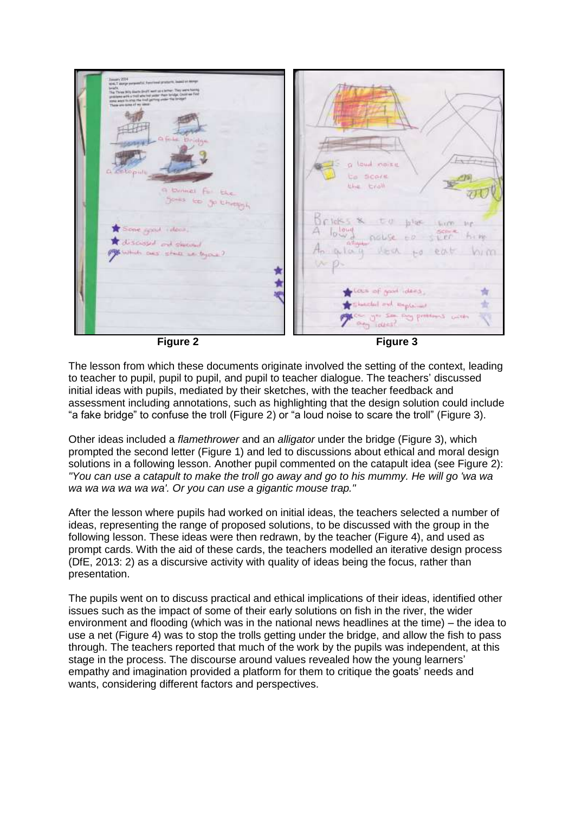

<span id="page-6-1"></span>

<span id="page-6-0"></span>The lesson from which these documents originate involved the setting of the context, leading to teacher to pupil, pupil to pupil, and pupil to teacher dialogue. The teachers' discussed initial ideas with pupils, mediated by their sketches, with the teacher feedback and assessment including annotations, such as highlighting that the design solution could include "a fake bridge" to confuse the troll [\(Figure 2\)](#page-6-0) or "a loud noise to scare the troll" [\(Figure 3\)](#page-6-1).

Other ideas included a *flamethrower* and an *alligator* under the bridge [\(Figure 3\)](#page-6-1), which prompted the second letter [\(Figure 1\)](#page-1-0) and led to discussions about ethical and moral design solutions in a following lesson. Another pupil commented on the catapult idea (see [Figure 2\)](#page-6-0): *"You can use a catapult to make the troll go away and go to his mummy. He will go 'wa wa wa wa wa wa wa wa'. Or you can use a gigantic mouse trap."* 

After the lesson where pupils had worked on initial ideas, the teachers selected a number of ideas, representing the range of proposed solutions, to be discussed with the group in the following lesson. These ideas were then redrawn, by the teacher [\(Figure 4\)](#page-7-0), and used as prompt cards. With the aid of these cards, the teachers modelled an iterative design process (DfE, 2013: 2) as a discursive activity with quality of ideas being the focus, rather than presentation.

The pupils went on to discuss practical and ethical implications of their ideas, identified other issues such as the impact of some of their early solutions on fish in the river, the wider environment and flooding (which was in the national news headlines at the time) – the idea to use a net (Figure 4) was to stop the trolls getting under the bridge, and allow the fish to pass through. The teachers reported that much of the work by the pupils was independent, at this stage in the process. The discourse around values revealed how the young learners' empathy and imagination provided a platform for them to critique the goats' needs and wants, considering different factors and perspectives.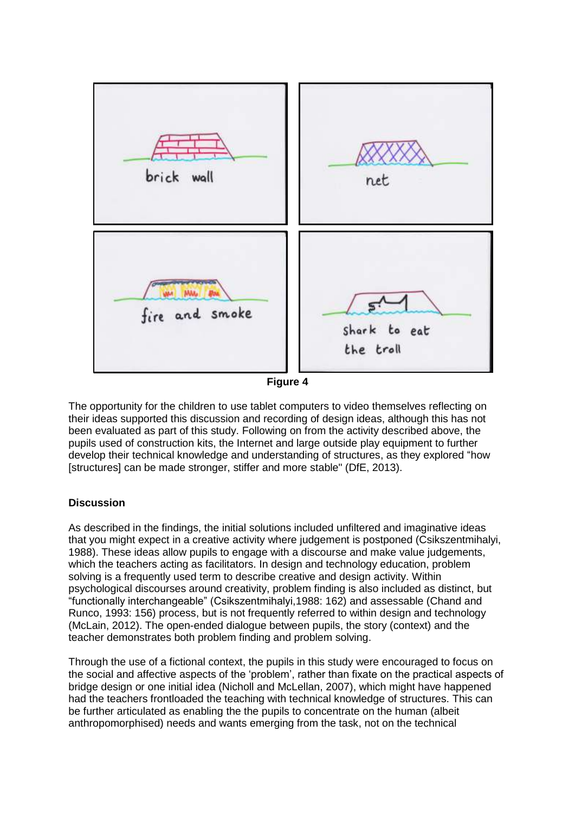

**Figure 4**

<span id="page-7-0"></span>The opportunity for the children to use tablet computers to video themselves reflecting on their ideas supported this discussion and recording of design ideas, although this has not been evaluated as part of this study. Following on from the activity described above, the pupils used of construction kits, the Internet and large outside play equipment to further develop their technical knowledge and understanding of structures, as they explored "how [structures] can be made stronger, stiffer and more stable" (DfE, 2013).

## **Discussion**

As described in the findings, the initial solutions included unfiltered and imaginative ideas that you might expect in a creative activity where judgement is postponed (Csikszentmihalyi, 1988). These ideas allow pupils to engage with a discourse and make value judgements, which the teachers acting as facilitators. In design and technology education, problem solving is a frequently used term to describe creative and design activity. Within psychological discourses around creativity, problem finding is also included as distinct, but "functionally interchangeable" (Csikszentmihalyi,1988: 162) and assessable (Chand and Runco, 1993: 156) process, but is not frequently referred to within design and technology (McLain, 2012). The open-ended dialogue between pupils, the story (context) and the teacher demonstrates both problem finding and problem solving.

Through the use of a fictional context, the pupils in this study were encouraged to focus on the social and affective aspects of the 'problem', rather than fixate on the practical aspects of bridge design or one initial idea (Nicholl and McLellan, 2007), which might have happened had the teachers frontloaded the teaching with technical knowledge of structures. This can be further articulated as enabling the the pupils to concentrate on the human (albeit anthropomorphised) needs and wants emerging from the task, not on the technical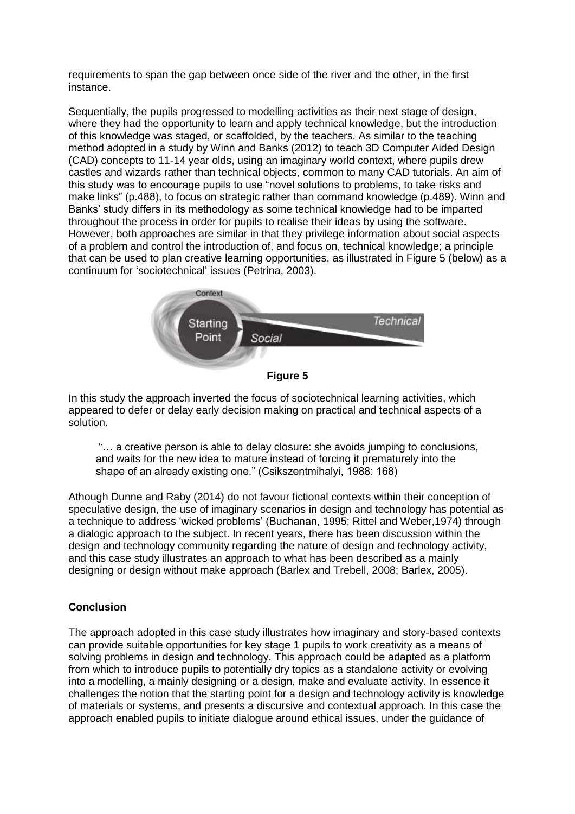requirements to span the gap between once side of the river and the other, in the first instance.

Sequentially, the pupils progressed to modelling activities as their next stage of design, where they had the opportunity to learn and apply technical knowledge, but the introduction of this knowledge was staged, or scaffolded, by the teachers. As similar to the teaching method adopted in a study by Winn and Banks (2012) to teach 3D Computer Aided Design (CAD) concepts to 11-14 year olds, using an imaginary world context, where pupils drew castles and wizards rather than technical objects, common to many CAD tutorials. An aim of this study was to encourage pupils to use "novel solutions to problems, to take risks and make links" (p.488), to focus on strategic rather than command knowledge (p.489). Winn and Banks' study differs in its methodology as some technical knowledge had to be imparted throughout the process in order for pupils to realise their ideas by using the software. However, both approaches are similar in that they privilege information about social aspects of a problem and control the introduction of, and focus on, technical knowledge; a principle that can be used to plan creative learning opportunities, as illustrated in [Figure 5](#page-8-0) (below) as a continuum for 'sociotechnical' issues (Petrina, 2003).



**Figure 5**

<span id="page-8-0"></span>In this study the approach inverted the focus of sociotechnical learning activities, which appeared to defer or delay early decision making on practical and technical aspects of a solution.

"… a creative person is able to delay closure: she avoids jumping to conclusions, and waits for the new idea to mature instead of forcing it prematurely into the shape of an already existing one." (Csikszentmihalyi, 1988: 168)

Athough Dunne and Raby (2014) do not favour fictional contexts within their conception of speculative design, the use of imaginary scenarios in design and technology has potential as a technique to address 'wicked problems' (Buchanan, 1995; Rittel and Weber,1974) through a dialogic approach to the subject. In recent years, there has been discussion within the design and technology community regarding the nature of design and technology activity, and this case study illustrates an approach to what has been described as a mainly designing or design without make approach (Barlex and Trebell, 2008; Barlex, 2005).

## **Conclusion**

The approach adopted in this case study illustrates how imaginary and story-based contexts can provide suitable opportunities for key stage 1 pupils to work creativity as a means of solving problems in design and technology. This approach could be adapted as a platform from which to introduce pupils to potentially dry topics as a standalone activity or evolving into a modelling, a mainly designing or a design, make and evaluate activity. In essence it challenges the notion that the starting point for a design and technology activity is knowledge of materials or systems, and presents a discursive and contextual approach. In this case the approach enabled pupils to initiate dialogue around ethical issues, under the guidance of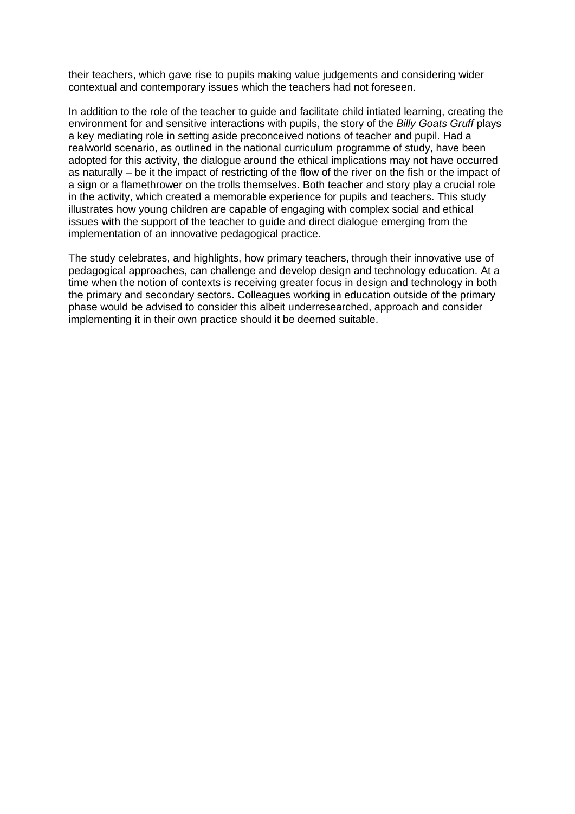their teachers, which gave rise to pupils making value judgements and considering wider contextual and contemporary issues which the teachers had not foreseen.

In addition to the role of the teacher to guide and facilitate child intiated learning, creating the environment for and sensitive interactions with pupils, the story of the *Billy Goats Gruff* plays a key mediating role in setting aside preconceived notions of teacher and pupil. Had a realworld scenario, as outlined in the national curriculum programme of study, have been adopted for this activity, the dialogue around the ethical implications may not have occurred as naturally – be it the impact of restricting of the flow of the river on the fish or the impact of a sign or a flamethrower on the trolls themselves. Both teacher and story play a crucial role in the activity, which created a memorable experience for pupils and teachers. This study illustrates how young children are capable of engaging with complex social and ethical issues with the support of the teacher to guide and direct dialogue emerging from the implementation of an innovative pedagogical practice.

The study celebrates, and highlights, how primary teachers, through their innovative use of pedagogical approaches, can challenge and develop design and technology education. At a time when the notion of contexts is receiving greater focus in design and technology in both the primary and secondary sectors. Colleagues working in education outside of the primary phase would be advised to consider this albeit underresearched, approach and consider implementing it in their own practice should it be deemed suitable.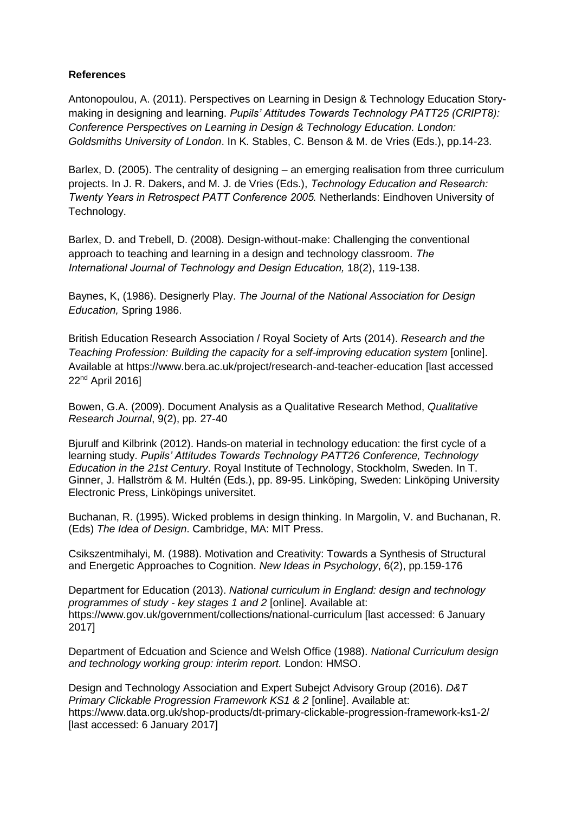## **References**

Antonopoulou, A. (2011). Perspectives on Learning in Design & Technology Education Storymaking in designing and learning. *Pupils' Attitudes Towards Technology PATT25 (CRIPT8): Conference Perspectives on Learning in Design & Technology Education. London: Goldsmiths University of London*. In K. Stables, C. Benson & M. de Vries (Eds.), pp.14-23.

Barlex, D. (2005). The centrality of designing – an emerging realisation from three curriculum projects. In J. R. Dakers, and M. J. de Vries (Eds.), *Technology Education and Research: Twenty Years in Retrospect PATT Conference 2005.* Netherlands: Eindhoven University of Technology.

Barlex, D. and Trebell, D. (2008). Design-without-make: Challenging the conventional approach to teaching and learning in a design and technology classroom. *The International Journal of Technology and Design Education,* 18(2), 119-138.

Baynes, K, (1986). Designerly Play. *The Journal of the National Association for Design Education,* Spring 1986.

British Education Research Association / Royal Society of Arts (2014). *Research and the Teaching Profession: Building the capacity for a self-improving education system* [online]. Available at https://www.bera.ac.uk/project/research-and-teacher-education [last accessed 22nd April 2016]

Bowen, G.A. (2009). Document Analysis as a Qualitative Research Method, *Qualitative Research Journal*, 9(2), pp. 27-40

Bjurulf and Kilbrink (2012). Hands-on material in technology education: the first cycle of a learning study. *Pupils' Attitudes Towards Technology PATT26 Conference, Technology Education in the 21st Century*. Royal Institute of Technology, Stockholm, Sweden. In T. Ginner, J. Hallström & M. Hultén (Eds.), pp. 89-95. Linköping, Sweden: Linköping University Electronic Press, Linköpings universitet.

Buchanan, R. (1995). Wicked problems in design thinking. In Margolin, V. and Buchanan, R. (Eds) *The Idea of Design*. Cambridge, MA: MIT Press.

Csikszentmihalyi, M. (1988). Motivation and Creativity: Towards a Synthesis of Structural and Energetic Approaches to Cognition. *New Ideas in Psychology*, 6(2), pp.159-176

Department for Education (2013). *National curriculum in England: design and technology programmes of study - key stages 1 and 2* [online]. Available at: https://www.gov.uk/government/collections/national-curriculum [last accessed: 6 January 2017]

Department of Edcuation and Science and Welsh Office (1988). *National Curriculum design and technology working group: interim report.* London: HMSO.

Design and Technology Association and Expert Subejct Advisory Group (2016). *D&T Primary Clickable Progression Framework KS1 & 2* [online]. Available at: https://www.data.org.uk/shop-products/dt-primary-clickable-progression-framework-ks1-2/ [last accessed: 6 January 2017]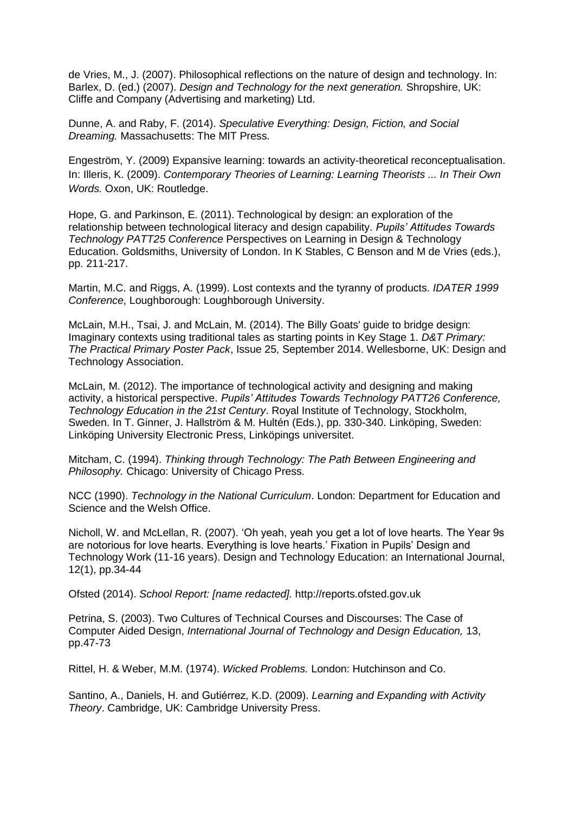de Vries, M., J. (2007). Philosophical reflections on the nature of design and technology. In: Barlex, D. (ed.) (2007). *Design and Technology for the next generation.* Shropshire, UK: Cliffe and Company (Advertising and marketing) Ltd.

Dunne, A. and Raby, F. (2014). *Speculative Everything: Design, Fiction, and Social Dreaming.* Massachusetts: The MIT Press.

Engeström, Y. (2009) Expansive learning: towards an activity-theoretical reconceptualisation. In: Illeris, K. (2009). *Contemporary Theories of Learning: Learning Theorists ... In Their Own Words.* Oxon, UK: Routledge.

Hope, G. and Parkinson, E. (2011). Technological by design: an exploration of the relationship between technological literacy and design capability. *Pupils' Attitudes Towards Technology PATT25 Conference* Perspectives on Learning in Design & Technology Education. Goldsmiths, University of London. In K Stables, C Benson and M de Vries (eds.), pp. 211-217.

Martin, M.C. and Riggs, A. (1999). Lost contexts and the tyranny of products. *IDATER 1999 Conference*, Loughborough: Loughborough University.

McLain, M.H., Tsai, J. and McLain, M. (2014). The Billy Goats' guide to bridge design: Imaginary contexts using traditional tales as starting points in Key Stage 1. *D&T Primary: The Practical Primary Poster Pack*, Issue 25, September 2014. Wellesborne, UK: Design and Technology Association.

McLain, M. (2012). The importance of technological activity and designing and making activity, a historical perspective. *Pupils' Attitudes Towards Technology PATT26 Conference, Technology Education in the 21st Century*. Royal Institute of Technology, Stockholm, Sweden. In T. Ginner, J. Hallström & M. Hultén (Eds.), pp. 330-340. Linköping, Sweden: Linköping University Electronic Press, Linköpings universitet.

Mitcham, C. (1994). *Thinking through Technology: The Path Between Engineering and Philosophy.* Chicago: University of Chicago Press.

NCC (1990). *Technology in the National Curriculum*. London: Department for Education and Science and the Welsh Office.

Nicholl, W. and McLellan, R. (2007). 'Oh yeah, yeah you get a lot of love hearts. The Year 9s are notorious for love hearts. Everything is love hearts.' Fixation in Pupils' Design and Technology Work (11-16 years). Design and Technology Education: an International Journal, 12(1), pp.34-44

Ofsted (2014). *School Report: [name redacted].* http://reports.ofsted.gov.uk

Petrina, S. (2003). Two Cultures of Technical Courses and Discourses: The Case of Computer Aided Design, *International Journal of Technology and Design Education,* 13, pp.47-73

Rittel, H. & Weber, M.M. (1974). *Wicked Problems.* London: Hutchinson and Co.

Santino, A., Daniels, H. and Gutiérrez, K.D. (2009). *Learning and Expanding with Activity Theory*. Cambridge, UK: Cambridge University Press.